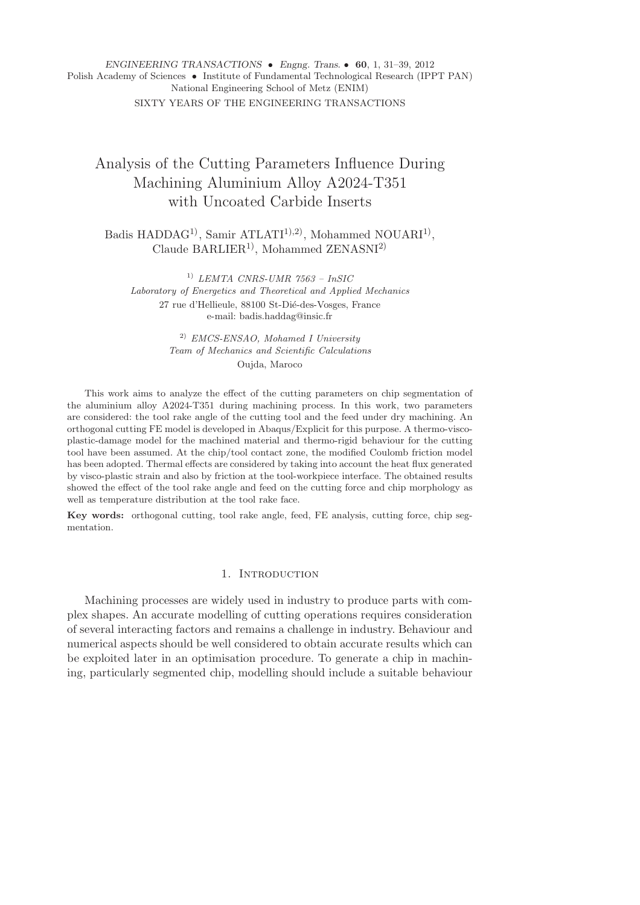## *ENGINEERING TRANSACTIONS* • *Engng. Trans.* • **60**, 1, 31–39, 2012 Polish Academy of Sciences • Institute of Fundamental Technological Research (IPPT PAN) National Engineering School of Metz (ENIM) SIXTY YEARS OF THE ENGINEERING TRANSACTIONS

# Analysis of the Cutting Parameters Influence During Machining Aluminium Alloy A2024-T351 with Uncoated Carbide Inserts

Badis HADDAG<sup>1)</sup>, Samir ATLATI<sup>1),2)</sup>, Mohammed NOUARI<sup>1)</sup>, Claude BARLIER<sup>1</sup>, Mohammed ZENASNI<sup>2)</sup>

1) *LEMTA CNRS-UMR 7563 – InSIC Laboratory of Energetics and Theoretical and Applied Mechanics* 27 rue d'Hellieule, 88100 St-Dié-des-Vosges, France e-mail: badis.haddag@insic.fr

> 2) *EMCS-ENSAO, Mohamed I University Team of Mechanics and Scientific Calculations* Oujda, Maroco

This work aims to analyze the effect of the cutting parameters on chip segmentation of the aluminium alloy A2024-T351 during machining process. In this work, two parameters are considered: the tool rake angle of the cutting tool and the feed under dry machining. An orthogonal cutting FE model is developed in Abaqus/Explicit for this purpose. A thermo-viscoplastic-damage model for the machined material and thermo-rigid behaviour for the cutting tool have been assumed. At the chip/tool contact zone, the modified Coulomb friction model has been adopted. Thermal effects are considered by taking into account the heat flux generated by visco-plastic strain and also by friction at the tool-workpiece interface. The obtained results showed the effect of the tool rake angle and feed on the cutting force and chip morphology as well as temperature distribution at the tool rake face.

**Key words:** orthogonal cutting, tool rake angle, feed, FE analysis, cutting force, chip segmentation.

## 1. INTRODUCTION

Machining processes are widely used in industry to produce parts with complex shapes. An accurate modelling of cutting operations requires consideration of several interacting factors and remains a challenge in industry. Behaviour and numerical aspects should be well considered to obtain accurate results which can be exploited later in an optimisation procedure. To generate a chip in machining, particularly segmented chip, modelling should include a suitable behaviour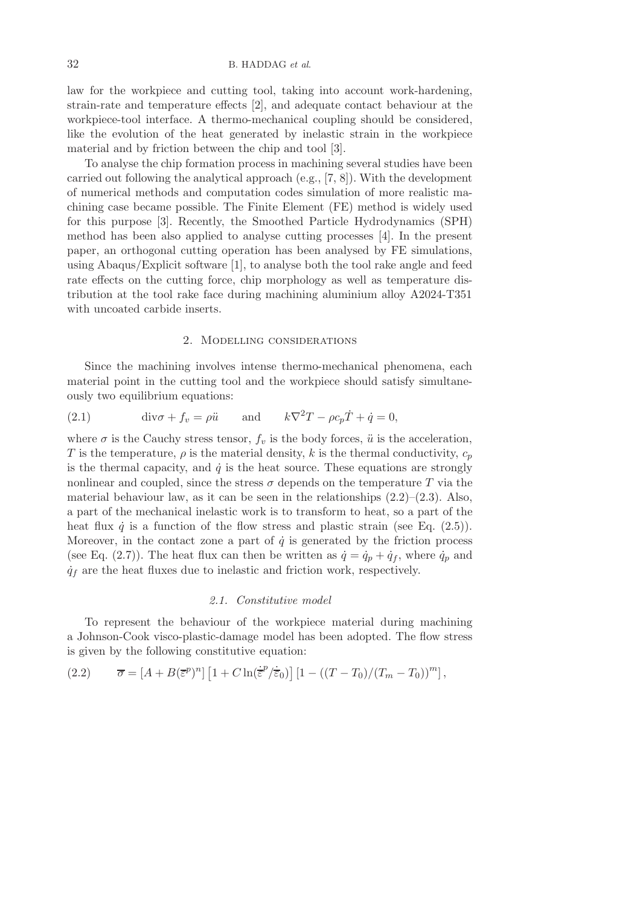law for the workpiece and cutting tool, taking into account work-hardening, strain-rate and temperature effects [2], and adequate contact behaviour at the workpiece-tool interface. A thermo-mechanical coupling should be considered, like the evolution of the heat generated by inelastic strain in the workpiece material and by friction between the chip and tool [3].

To analyse the chip formation process in machining several studies have been carried out following the analytical approach (e.g., [7, 8]). With the development of numerical methods and computation codes simulation of more realistic machining case became possible. The Finite Element (FE) method is widely used for this purpose [3]. Recently, the Smoothed Particle Hydrodynamics (SPH) method has been also applied to analyse cutting processes [4]. In the present paper, an orthogonal cutting operation has been analysed by FE simulations, using Abaqus/Explicit software [1], to analyse both the tool rake angle and feed rate effects on the cutting force, chip morphology as well as temperature distribution at the tool rake face during machining aluminium alloy A2024-T351 with uncoated carbide inserts.

#### 2. Modelling considerations

Since the machining involves intense thermo-mechanical phenomena, each material point in the cutting tool and the workpiece should satisfy simultaneously two equilibrium equations:

(2.1) 
$$
\operatorname{div} \sigma + f_v = \rho \ddot{u} \quad \text{and} \quad k \nabla^2 T - \rho c_p \dot{T} + \dot{q} = 0,
$$

where  $\sigma$  is the Cauchy stress tensor,  $f_v$  is the body forces,  $\ddot{u}$  is the acceleration, T is the temperature,  $\rho$  is the material density, k is the thermal conductivity,  $c_p$ is the thermal capacity, and  $\dot{q}$  is the heat source. These equations are strongly nonlinear and coupled, since the stress  $\sigma$  depends on the temperature T via the material behaviour law, as it can be seen in the relationships  $(2.2)$ – $(2.3)$ . Also, a part of the mechanical inelastic work is to transform to heat, so a part of the heat flux  $\dot{q}$  is a function of the flow stress and plastic strain (see Eq. (2.5)). Moreover, in the contact zone a part of  $\dot{q}$  is generated by the friction process (see Eq. (2.7)). The heat flux can then be written as  $\dot{q} = \dot{q}_p + \dot{q}_f$ , where  $\dot{q}_p$  and  $\dot{q}_f$  are the heat fluxes due to inelastic and friction work, respectively.

#### *2.1. Constitutive model*

To represent the behaviour of the workpiece material during machining a Johnson-Cook visco-plastic-damage model has been adopted. The flow stress is given by the following constitutive equation:

(2.2) 
$$
\overline{\sigma} = \left[A + B(\overline{\epsilon}^p)^n\right] \left[1 + C \ln(\dot{\overline{\epsilon}}^p/\dot{\overline{\epsilon}}_0)\right] \left[1 - \left((T - T_0)/(T_m - T_0)\right)^m\right],
$$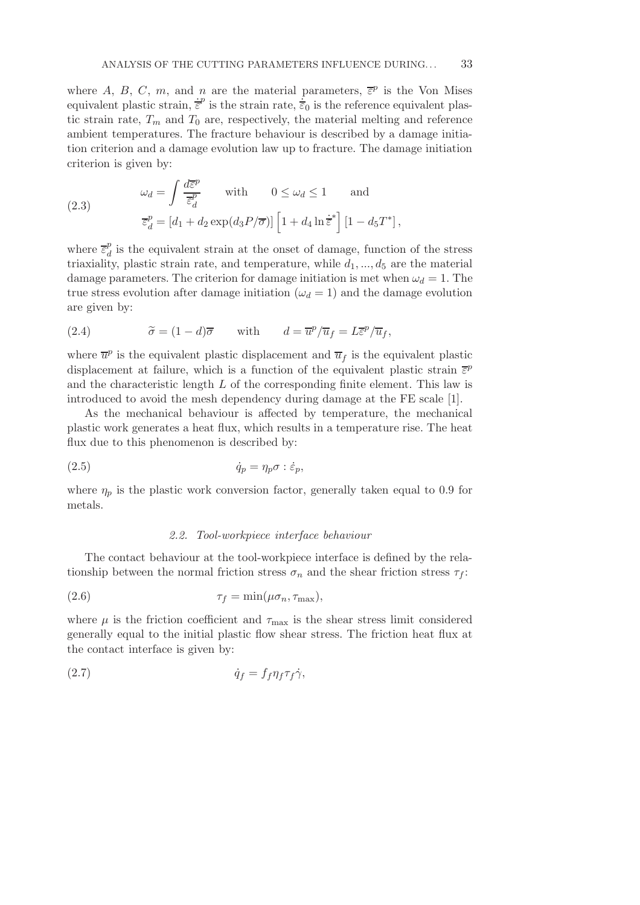where A, B, C, m, and n are the material parameters,  $\bar{\epsilon}^p$  is the Von Mises equivalent plastic strain,  $\dot{\vec{\varepsilon}}^p$  is the strain rate,  $\dot{\vec{\varepsilon}}_0$  is the reference equivalent plastic strain rate,  $T_m$  and  $T_0$  are, respectively, the material melting and reference ambient temperatures. The fracture behaviour is described by a damage initiation criterion and a damage evolution law up to fracture. The damage initiation criterion is given by:

(2.3) 
$$
\omega_d = \int \frac{d\overline{\varepsilon}^p}{\overline{\varepsilon}_d^p} \quad \text{with} \quad 0 \le \omega_d \le 1 \quad \text{and}
$$

$$
\overline{\varepsilon}_d^p = [d_1 + d_2 \exp(d_3 P/\overline{\sigma})] \left[1 + d_4 \ln \overline{\overline{\varepsilon}}^*\right] \left[1 - d_5 T^*\right],
$$

where  $\overline{\varepsilon}_d^p$  $\frac{p}{d}$  is the equivalent strain at the onset of damage, function of the stress triaxiality, plastic strain rate, and temperature, while  $d_1, ..., d_5$  are the material damage parameters. The criterion for damage initiation is met when  $\omega_d = 1$ . The true stress evolution after damage initiation ( $\omega_d = 1$ ) and the damage evolution are given by:

(2.4) 
$$
\widetilde{\sigma} = (1 - d)\overline{\sigma} \quad \text{with} \quad d = \overline{u}^p / \overline{u}_f = L\overline{\varepsilon}^p / \overline{u}_f,
$$

where  $\overline{u}^p$  is the equivalent plastic displacement and  $\overline{u}_f$  is the equivalent plastic displacement at failure, which is a function of the equivalent plastic strain  $\bar{\varepsilon}^p$ and the characteristic length L of the corresponding finite element. This law is introduced to avoid the mesh dependency during damage at the FE scale [1].

As the mechanical behaviour is affected by temperature, the mechanical plastic work generates a heat flux, which results in a temperature rise. The heat flux due to this phenomenon is described by:

$$
\dot{q}_p = \eta_p \sigma : \dot{\varepsilon}_p,
$$

where  $\eta_p$  is the plastic work conversion factor, generally taken equal to 0.9 for metals.

#### *2.2. Tool-workpiece interface behaviour*

The contact behaviour at the tool-workpiece interface is defined by the relationship between the normal friction stress  $\sigma_n$  and the shear friction stress  $\tau_f$ :

$$
\tau_f = \min(\mu \sigma_n, \tau_{\text{max}}),
$$

where  $\mu$  is the friction coefficient and  $\tau_{\text{max}}$  is the shear stress limit considered generally equal to the initial plastic flow shear stress. The friction heat flux at the contact interface is given by:

$$
\dot{q}_f = f_f \eta_f \tau_f \dot{\gamma},
$$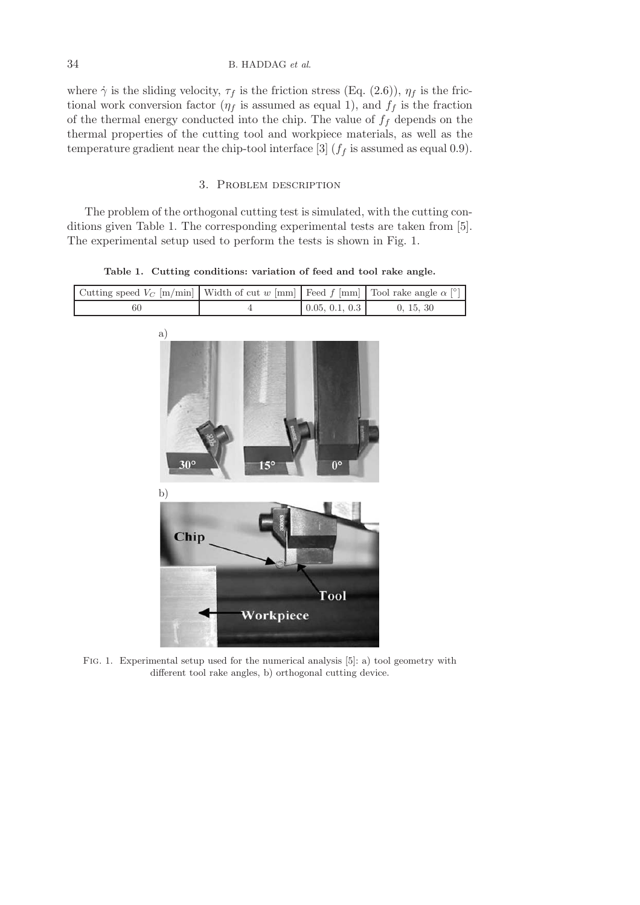where  $\dot{\gamma}$  is the sliding velocity,  $\tau_f$  is the friction stress (Eq. (2.6)),  $\eta_f$  is the frictional work conversion factor  $(\eta_f$  is assumed as equal 1), and  $f_f$  is the fraction of the thermal energy conducted into the chip. The value of  $f_f$  depends on the thermal properties of the cutting tool and workpiece materials, as well as the temperature gradient near the chip-tool interface [3]  $(f<sub>f</sub>$  is assumed as equal 0.9).

#### 3. Problem description

The problem of the orthogonal cutting test is simulated, with the cutting conditions given Table 1. The corresponding experimental tests are taken from [5]. The experimental setup used to perform the tests is shown in Fig. 1.

**Table 1. Cutting conditions: variation of feed and tool rake angle.**

]



Fig. 1. Experimental setup used for the numerical analysis [5]: a) tool geometry with different tool rake angles, b) orthogonal cutting device.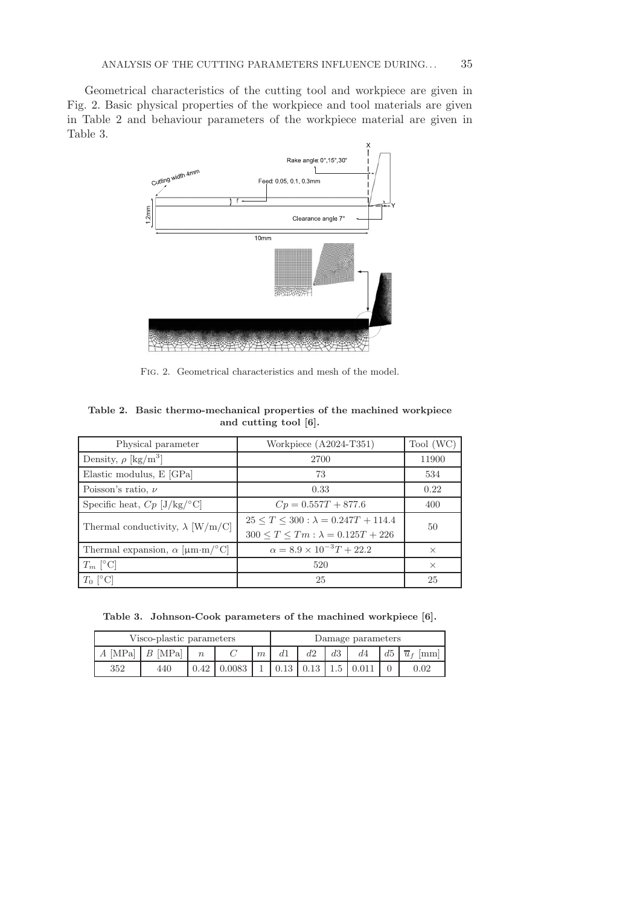Geometrical characteristics of the cutting tool and workpiece are given in Fig. 2. Basic physical properties of the workpiece and tool materials are given in Table 2 and behaviour parameters of the workpiece material are given in Table 3.



Fig. 2. Geometrical characteristics and mesh of the model.

| Table 2. Basic thermo-mechanical properties of the machined workpiece |
|-----------------------------------------------------------------------|
| and cutting tool [6].                                                 |

| Physical parameter                          | Workpiece (A2024-T351)                                                                         | Tool (WC) |  |
|---------------------------------------------|------------------------------------------------------------------------------------------------|-----------|--|
| Density, $\rho$ [kg/m <sup>3</sup> ]        | 2700                                                                                           | 11900     |  |
| Elastic modulus, E [GPa]                    | 73                                                                                             | 534       |  |
| Poisson's ratio, $\nu$                      | 0.33                                                                                           | 0.22      |  |
| Specific heat, $Cp$ [J/kg/°C]               | $Cp = 0.557T + 877.6$                                                                          | 400       |  |
| Thermal conductivity, $\lambda$ [W/m/C]     | $25 \le T \le 300$ : $\lambda = 0.247T + 114.4$<br>$300 \le T \le Tm : \lambda = 0.125T + 226$ | 50        |  |
| Thermal expansion, $\alpha$ [ $\mu$ m·m/°C] | $\alpha = 8.9 \times 10^{-3} T + 22.2$                                                         | $\times$  |  |
| $T_m$ [°C]                                  | 520                                                                                            | $\times$  |  |
| $T_0$ [°C]                                  | 25                                                                                             | 25        |  |

**Table 3. Johnson-Cook parameters of the machined workpiece [6].**

| Visco-plastic parameters |           |                  |  | Damage parameters |  |      |    |    |    |                               |
|--------------------------|-----------|------------------|--|-------------------|--|------|----|----|----|-------------------------------|
| $A$ [MPa]                | $B$ [MPa] | $\boldsymbol{n}$ |  | m                 |  | d2   | d3 | d4 | d5 | $\rm{mm}$<br>$\overline{u}$ f |
| 352                      | 440       | 0.42             |  |                   |  | 0.13 |    |    |    |                               |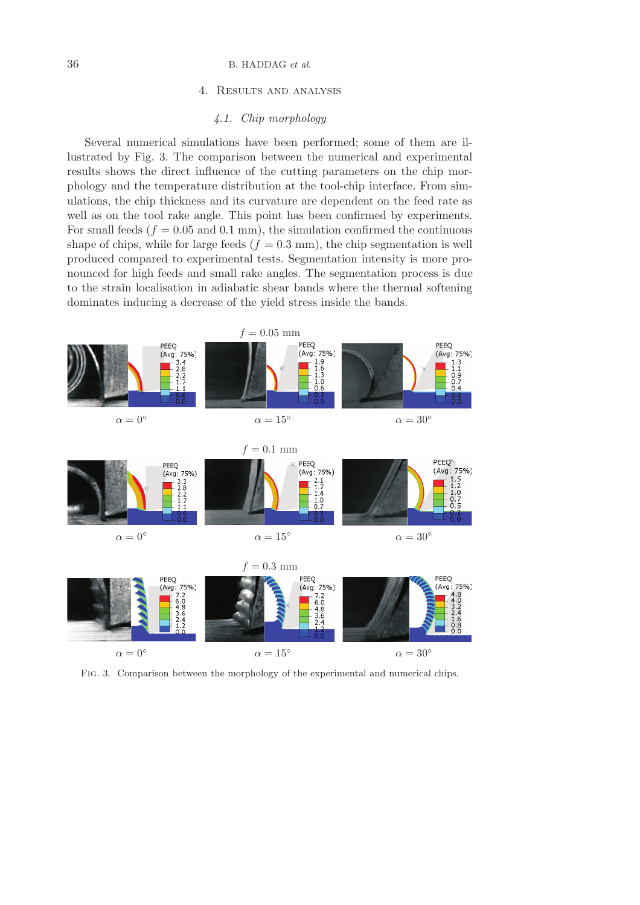#### 4. Results and analysis

## *4.1. Chip morphology*

Several numerical simulations have been performed; some of them are illustrated by Fig. 3. The comparison between the numerical and experimental results shows the direct influence of the cutting parameters on the chip morphology and the temperature distribution at the tool-chip interface. From simulations, the chip thickness and its curvature are dependent on the feed rate as well as on the tool rake angle. This point has been confirmed by experiments. For small feeds ( $f = 0.05$  and 0.1 mm), the simulation confirmed the continuous shape of chips, while for large feeds  $(f = 0.3 \text{ mm})$ , the chip segmentation is well produced compared to experimental tests. Segmentation intensity is more pronounced for high feeds and small rake angles. The segmentation process is due to the strain localisation in adiabatic shear bands where the thermal softening dominates inducing a decrease of the yield stress inside the bands.



Fig. 3. Comparison between the morphology of the experimental and numerical chips.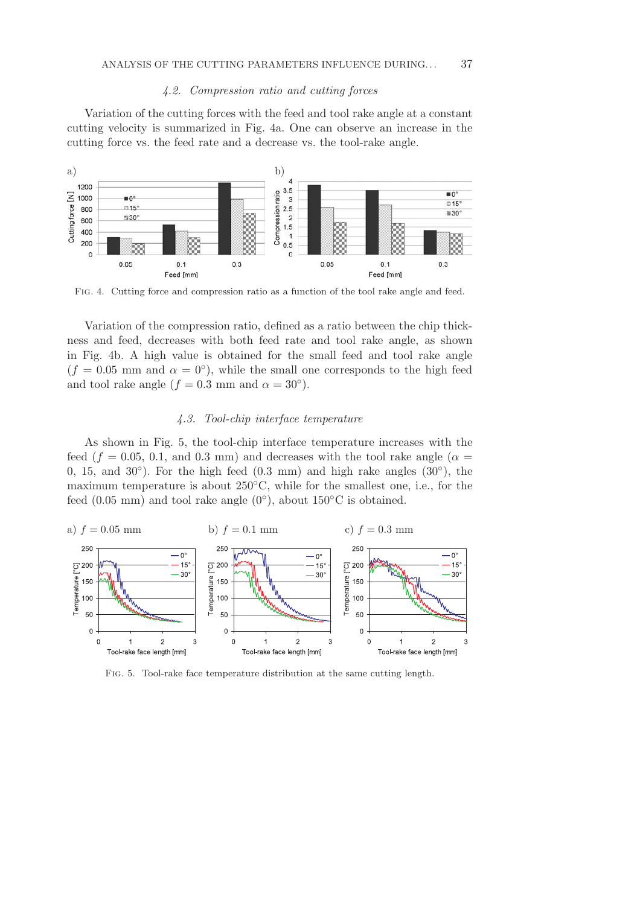#### *4.2. Compression ratio and cutting forces*

Variation of the cutting forces with the feed and tool rake angle at a constant cutting velocity is summarized in Fig. 4a. One can observe an increase in the cutting force vs. the feed rate and a decrease vs. the tool-rake angle.



Fig. 4. Cutting force and compression ratio as a function of the tool rake angle and feed.

Variation of the compression ratio, defined as a ratio between the chip thickness and feed, decreases with both feed rate and tool rake angle, as shown in Fig. 4b. A high value is obtained for the small feed and tool rake angle  $(f = 0.05$  mm and  $\alpha = 0^{\circ}$ ), while the small one corresponds to the high feed and tool rake angle  $(f = 0.3 \text{ mm and } \alpha = 30^{\circ}).$ 

## *4.3. Tool-chip interface temperature*

As shown in Fig. 5, the tool-chip interface temperature increases with the feed ( $f = 0.05, 0.1,$  and 0.3 mm) and decreases with the tool rake angle ( $\alpha =$ 0, 15, and 30 $^{\circ}$ ). For the high feed (0.3 mm) and high rake angles (30 $^{\circ}$ ), the maximum temperature is about 250◦C, while for the smallest one, i.e., for the feed  $(0.05 \text{ mm})$  and tool rake angle  $(0^{\circ})$ , about 150 $^{\circ}$ C is obtained.



Fig. 5. Tool-rake face temperature distribution at the same cutting length.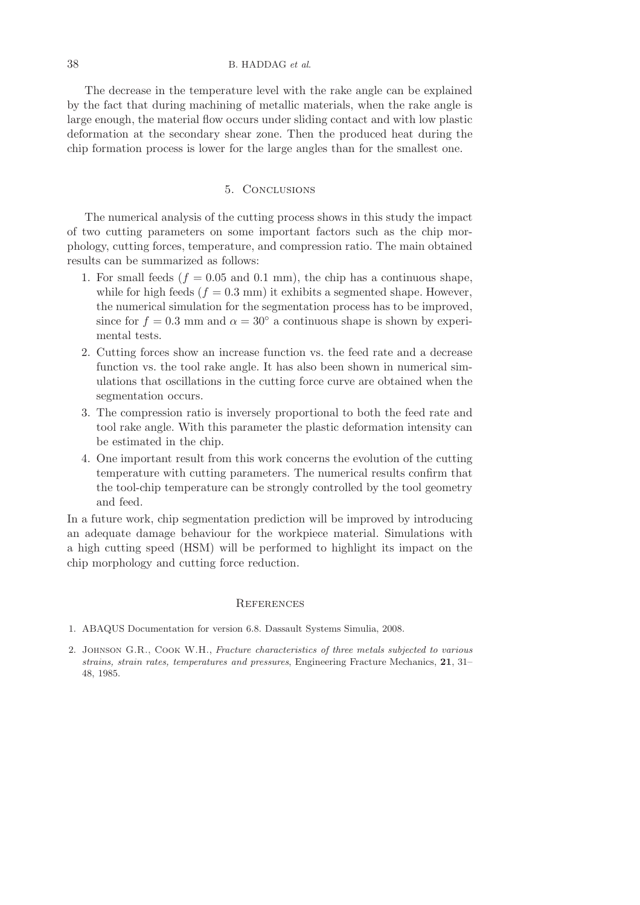The decrease in the temperature level with the rake angle can be explained by the fact that during machining of metallic materials, when the rake angle is large enough, the material flow occurs under sliding contact and with low plastic deformation at the secondary shear zone. Then the produced heat during the chip formation process is lower for the large angles than for the smallest one.

#### 5. Conclusions

The numerical analysis of the cutting process shows in this study the impact of two cutting parameters on some important factors such as the chip morphology, cutting forces, temperature, and compression ratio. The main obtained results can be summarized as follows:

- 1. For small feeds ( $f = 0.05$  and 0.1 mm), the chip has a continuous shape, while for high feeds ( $f = 0.3$  mm) it exhibits a segmented shape. However, the numerical simulation for the segmentation process has to be improved, since for  $f = 0.3$  mm and  $\alpha = 30^{\circ}$  a continuous shape is shown by experimental tests.
- 2. Cutting forces show an increase function vs. the feed rate and a decrease function vs. the tool rake angle. It has also been shown in numerical simulations that oscillations in the cutting force curve are obtained when the segmentation occurs.
- 3. The compression ratio is inversely proportional to both the feed rate and tool rake angle. With this parameter the plastic deformation intensity can be estimated in the chip.
- 4. One important result from this work concerns the evolution of the cutting temperature with cutting parameters. The numerical results confirm that the tool-chip temperature can be strongly controlled by the tool geometry and feed.

In a future work, chip segmentation prediction will be improved by introducing an adequate damage behaviour for the workpiece material. Simulations with a high cutting speed (HSM) will be performed to highlight its impact on the chip morphology and cutting force reduction.

## **REFERENCES**

- 1. ABAQUS Documentation for version 6.8. Dassault Systems Simulia, 2008.
- 2. Johnson G.R., Cook W.H., *Fracture characteristics of three metals subjected to various strains, strain rates, temperatures and pressures*, Engineering Fracture Mechanics, **21**, 31– 48, 1985.